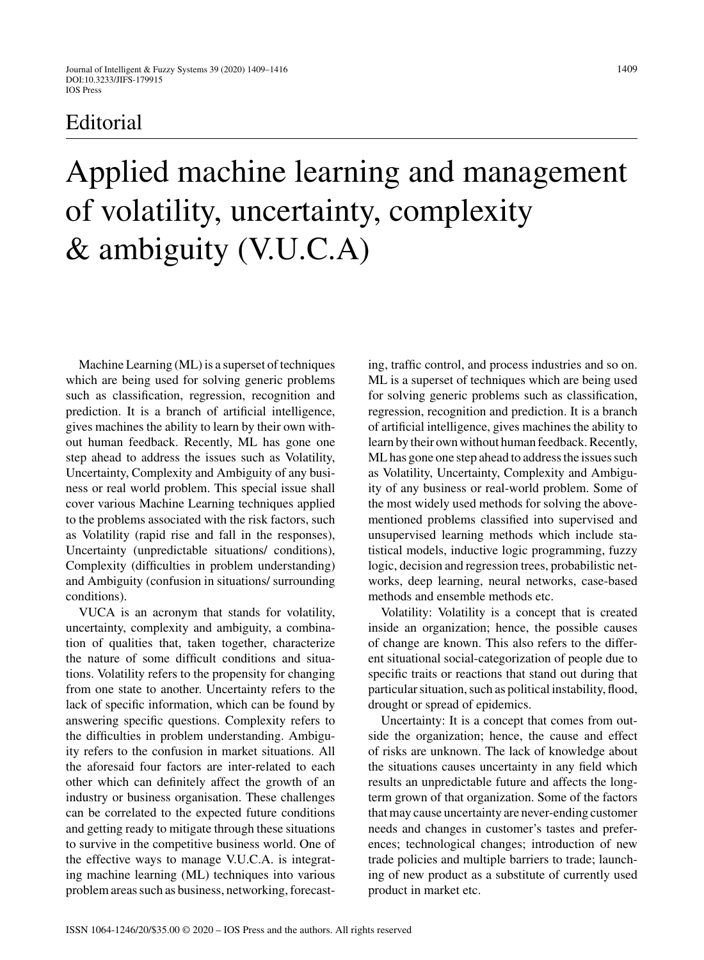# **Editorial**

# Applied machine learning and management of volatility, uncertainty, complexity & ambiguity (V.U.C.A)

Machine Learning (ML) is a superset of techniques which are being used for solving generic problems such as classification, regression, recognition and prediction. It is a branch of artificial intelligence, gives machines the ability to learn by their own without human feedback. Recently, ML has gone one step ahead to address the issues such as Volatility, Uncertainty, Complexity and Ambiguity of any business or real world problem. This special issue shall cover various Machine Learning techniques applied to the problems associated with the risk factors, such as Volatility (rapid rise and fall in the responses), Uncertainty (unpredictable situations/ conditions), Complexity (difficulties in problem understanding) and Ambiguity (confusion in situations/ surrounding conditions).

VUCA is an acronym that stands for volatility, uncertainty, complexity and ambiguity, a combination of qualities that, taken together, characterize the nature of some difficult conditions and situations. Volatility refers to the propensity for changing from one state to another. Uncertainty refers to the lack of specific information, which can be found by answering specific questions. Complexity refers to the difficulties in problem understanding. Ambiguity refers to the confusion in market situations. All the aforesaid four factors are inter-related to each other which can definitely affect the growth of an industry or business organisation. These challenges can be correlated to the expected future conditions and getting ready to mitigate through these situations to survive in the competitive business world. One of the effective ways to manage V.U.C.A. is integrating machine learning (ML) techniques into various problem areas such as business, networking, forecasting, traffic control, and process industries and so on. ML is a superset of techniques which are being used for solving generic problems such as classification, regression, recognition and prediction. It is a branch of artificial intelligence, gives machines the ability to learn by their own without human feedback. Recently, ML has gone one step ahead to address the issues such as Volatility, Uncertainty, Complexity and Ambiguity of any business or real-world problem. Some of the most widely used methods for solving the abovementioned problems classified into supervised and unsupervised learning methods which include statistical models, inductive logic programming, fuzzy logic, decision and regression trees, probabilistic networks, deep learning, neural networks, case-based methods and ensemble methods etc.

Volatility: Volatility is a concept that is created inside an organization; hence, the possible causes of change are known. This also refers to the different situational social-categorization of people due to specific traits or reactions that stand out during that particular situation, such as political instability, flood, drought or spread of epidemics.

Uncertainty: It is a concept that comes from outside the organization; hence, the cause and effect of risks are unknown. The lack of knowledge about the situations causes uncertainty in any field which results an unpredictable future and affects the longterm grown of that organization. Some of the factors that may cause uncertainty are never-ending customer needs and changes in customer's tastes and preferences; technological changes; introduction of new trade policies and multiple barriers to trade; launching of new product as a substitute of currently used product in market etc.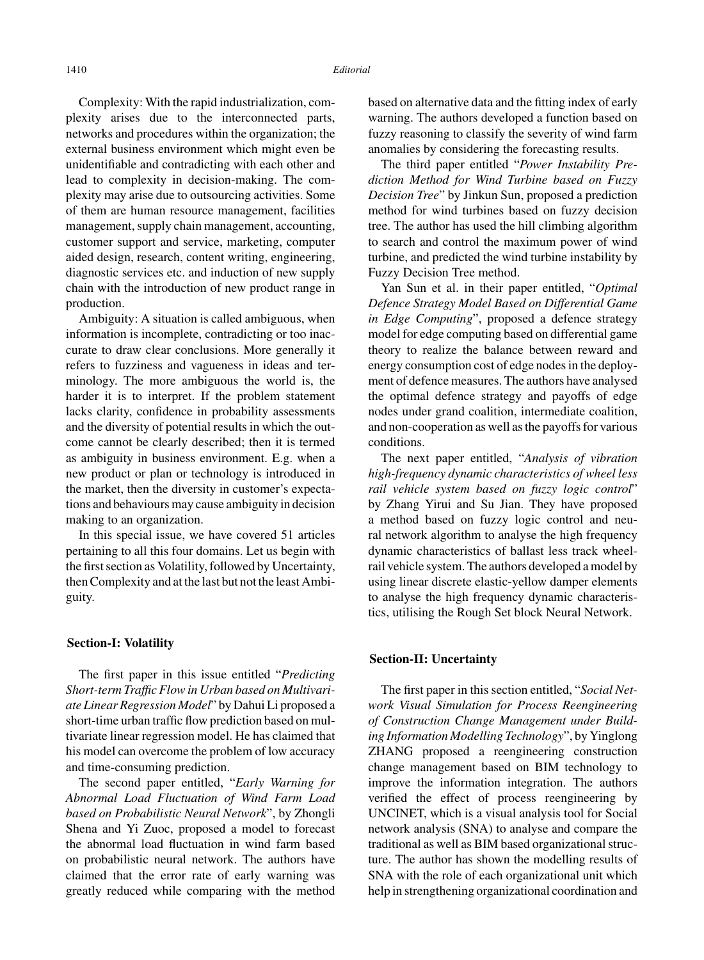Complexity: With the rapid industrialization, complexity arises due to the interconnected parts, networks and procedures within the organization; the external business environment which might even be unidentifiable and contradicting with each other and lead to complexity in decision-making. The complexity may arise due to outsourcing activities. Some of them are human resource management, facilities management, supply chain management, accounting, customer support and service, marketing, computer aided design, research, content writing, engineering, diagnostic services etc. and induction of new supply chain with the introduction of new product range in production.

Ambiguity: A situation is called ambiguous, when information is incomplete, contradicting or too inaccurate to draw clear conclusions. More generally it refers to fuzziness and vagueness in ideas and terminology. The more ambiguous the world is, the harder it is to interpret. If the problem statement lacks clarity, confidence in probability assessments and the diversity of potential results in which the outcome cannot be clearly described; then it is termed as ambiguity in business environment. E.g. when a new product or plan or technology is introduced in the market, then the diversity in customer's expectations and behaviours may cause ambiguity in decision making to an organization.

In this special issue, we have covered 51 articles pertaining to all this four domains. Let us begin with the first section as Volatility, followed by Uncertainty, then Complexity and at the last but not the least Ambiguity.

### **Section-I: Volatility**

The first paper in this issue entitled "*Predicting Short-term Traffic Flow in Urban based on Multivariate Linear Regression Model*" by Dahui Li proposed a short-time urban traffic flow prediction based on multivariate linear regression model. He has claimed that his model can overcome the problem of low accuracy and time-consuming prediction.

The second paper entitled, "*Early Warning for Abnormal Load Fluctuation of Wind Farm Load based on Probabilistic Neural Network*", by Zhongli Shena and Yi Zuoc, proposed a model to forecast the abnormal load fluctuation in wind farm based on probabilistic neural network. The authors have claimed that the error rate of early warning was greatly reduced while comparing with the method based on alternative data and the fitting index of early warning. The authors developed a function based on fuzzy reasoning to classify the severity of wind farm anomalies by considering the forecasting results.

The third paper entitled "*Power Instability Prediction Method for Wind Turbine based on Fuzzy Decision Tree*" by Jinkun Sun, proposed a prediction method for wind turbines based on fuzzy decision tree. The author has used the hill climbing algorithm to search and control the maximum power of wind turbine, and predicted the wind turbine instability by Fuzzy Decision Tree method.

Yan Sun et al. in their paper entitled, "*Optimal Defence Strategy Model Based on Differential Game in Edge Computing*", proposed a defence strategy model for edge computing based on differential game theory to realize the balance between reward and energy consumption cost of edge nodes in the deployment of defence measures. The authors have analysed the optimal defence strategy and payoffs of edge nodes under grand coalition, intermediate coalition, and non-cooperation as well as the payoffs for various conditions.

The next paper entitled, "*Analysis of vibration high-frequency dynamic characteristics of wheel less rail vehicle system based on fuzzy logic control*" by Zhang Yirui and Su Jian. They have proposed a method based on fuzzy logic control and neural network algorithm to analyse the high frequency dynamic characteristics of ballast less track wheelrail vehicle system. The authors developed a model by using linear discrete elastic-yellow damper elements to analyse the high frequency dynamic characteristics, utilising the Rough Set block Neural Network.

#### **Section-II: Uncertainty**

The first paper in this section entitled, "*Social Network Visual Simulation for Process Reengineering of Construction Change Management under Building Information Modelling Technology*", by Yinglong ZHANG proposed a reengineering construction change management based on BIM technology to improve the information integration. The authors verified the effect of process reengineering by UNCINET, which is a visual analysis tool for Social network analysis (SNA) to analyse and compare the traditional as well as BIM based organizational structure. The author has shown the modelling results of SNA with the role of each organizational unit which help in strengthening organizational coordination and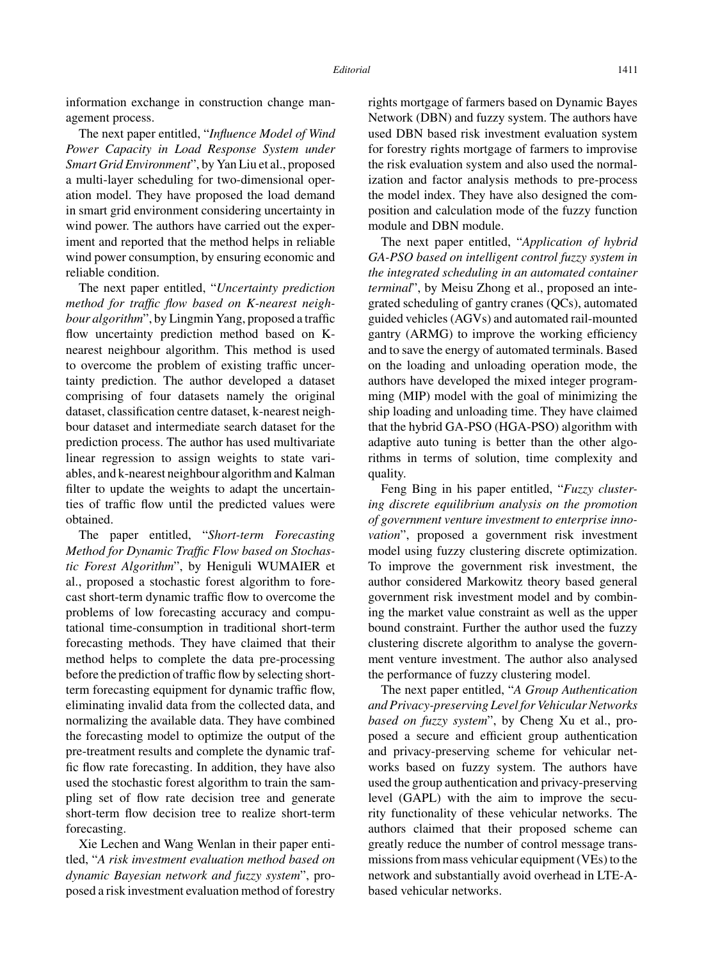information exchange in construction change management process.

The next paper entitled, "*Influence Model of Wind Power Capacity in Load Response System under Smart Grid Environment*", by Yan Liu et al., proposed a multi-layer scheduling for two-dimensional operation model. They have proposed the load demand in smart grid environment considering uncertainty in wind power. The authors have carried out the experiment and reported that the method helps in reliable wind power consumption, by ensuring economic and reliable condition.

The next paper entitled, "*Uncertainty prediction method for traffic flow based on K-nearest neighbour algorithm*", by Lingmin Yang, proposed a traffic flow uncertainty prediction method based on Knearest neighbour algorithm. This method is used to overcome the problem of existing traffic uncertainty prediction. The author developed a dataset comprising of four datasets namely the original dataset, classification centre dataset, k-nearest neighbour dataset and intermediate search dataset for the prediction process. The author has used multivariate linear regression to assign weights to state variables, and k-nearest neighbour algorithm and Kalman filter to update the weights to adapt the uncertainties of traffic flow until the predicted values were obtained.

The paper entitled, "*Short-term Forecasting Method for Dynamic Traffic Flow based on Stochastic Forest Algorithm*", by Heniguli WUMAIER et al., proposed a stochastic forest algorithm to forecast short-term dynamic traffic flow to overcome the problems of low forecasting accuracy and computational time-consumption in traditional short-term forecasting methods. They have claimed that their method helps to complete the data pre-processing before the prediction of traffic flow by selecting shortterm forecasting equipment for dynamic traffic flow, eliminating invalid data from the collected data, and normalizing the available data. They have combined the forecasting model to optimize the output of the pre-treatment results and complete the dynamic traffic flow rate forecasting. In addition, they have also used the stochastic forest algorithm to train the sampling set of flow rate decision tree and generate short-term flow decision tree to realize short-term forecasting.

Xie Lechen and Wang Wenlan in their paper entitled, "*A risk investment evaluation method based on dynamic Bayesian network and fuzzy system*", proposed a risk investment evaluation method of forestry rights mortgage of farmers based on Dynamic Bayes Network (DBN) and fuzzy system. The authors have used DBN based risk investment evaluation system for forestry rights mortgage of farmers to improvise the risk evaluation system and also used the normalization and factor analysis methods to pre-process the model index. They have also designed the composition and calculation mode of the fuzzy function module and DBN module.

The next paper entitled, "*Application of hybrid GA-PSO based on intelligent control fuzzy system in the integrated scheduling in an automated container terminal*", by Meisu Zhong et al., proposed an integrated scheduling of gantry cranes (QCs), automated guided vehicles (AGVs) and automated rail-mounted gantry (ARMG) to improve the working efficiency and to save the energy of automated terminals. Based on the loading and unloading operation mode, the authors have developed the mixed integer programming (MIP) model with the goal of minimizing the ship loading and unloading time. They have claimed that the hybrid GA-PSO (HGA-PSO) algorithm with adaptive auto tuning is better than the other algorithms in terms of solution, time complexity and quality.

Feng Bing in his paper entitled, "*Fuzzy clustering discrete equilibrium analysis on the promotion of government venture investment to enterprise innovation*", proposed a government risk investment model using fuzzy clustering discrete optimization. To improve the government risk investment, the author considered Markowitz theory based general government risk investment model and by combining the market value constraint as well as the upper bound constraint. Further the author used the fuzzy clustering discrete algorithm to analyse the government venture investment. The author also analysed the performance of fuzzy clustering model.

The next paper entitled, "*A Group Authentication and Privacy-preserving Level for Vehicular Networks based on fuzzy system*", by Cheng Xu et al., proposed a secure and efficient group authentication and privacy-preserving scheme for vehicular networks based on fuzzy system. The authors have used the group authentication and privacy-preserving level (GAPL) with the aim to improve the security functionality of these vehicular networks. The authors claimed that their proposed scheme can greatly reduce the number of control message transmissions from mass vehicular equipment (VEs) to the network and substantially avoid overhead in LTE-Abased vehicular networks.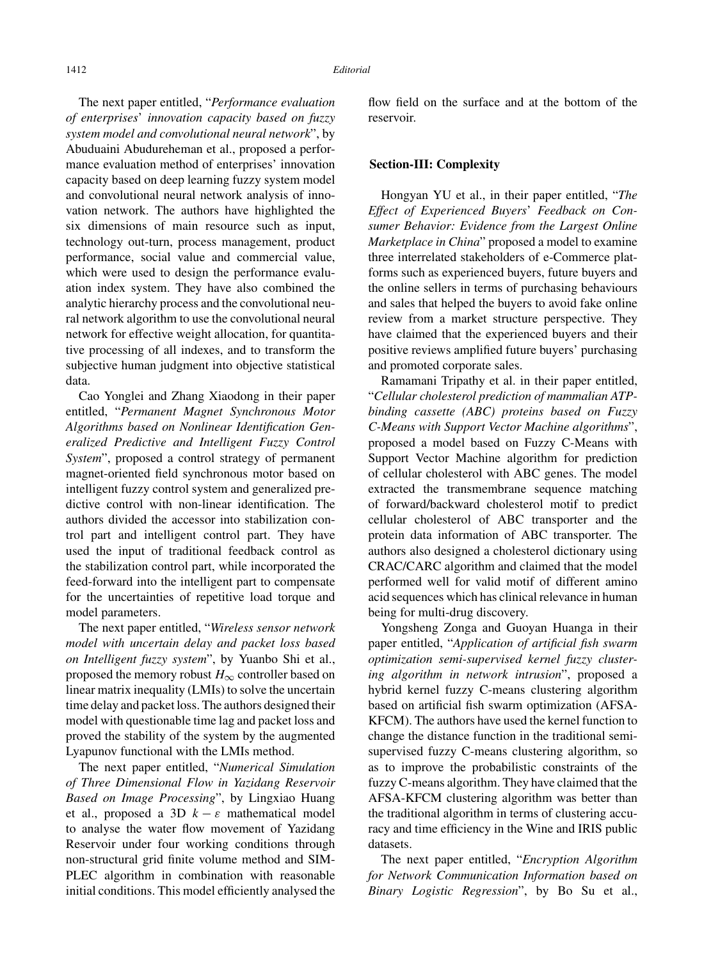The next paper entitled, "*Performance evaluation of enterprises*' *innovation capacity based on fuzzy system model and convolutional neural network*", by Abuduaini Abudureheman et al., proposed a performance evaluation method of enterprises' innovation capacity based on deep learning fuzzy system model and convolutional neural network analysis of innovation network. The authors have highlighted the six dimensions of main resource such as input, technology out-turn, process management, product performance, social value and commercial value, which were used to design the performance evaluation index system. They have also combined the analytic hierarchy process and the convolutional neural network algorithm to use the convolutional neural network for effective weight allocation, for quantitative processing of all indexes, and to transform the subjective human judgment into objective statistical data.

Cao Yonglei and Zhang Xiaodong in their paper entitled, "*Permanent Magnet Synchronous Motor Algorithms based on Nonlinear Identification Generalized Predictive and Intelligent Fuzzy Control System*", proposed a control strategy of permanent magnet-oriented field synchronous motor based on intelligent fuzzy control system and generalized predictive control with non-linear identification. The authors divided the accessor into stabilization control part and intelligent control part. They have used the input of traditional feedback control as the stabilization control part, while incorporated the feed-forward into the intelligent part to compensate for the uncertainties of repetitive load torque and model parameters.

The next paper entitled, "*Wireless sensor network model with uncertain delay and packet loss based on Intelligent fuzzy system*", by Yuanbo Shi et al., proposed the memory robust  $H_{\infty}$  controller based on linear matrix inequality (LMIs) to solve the uncertain time delay and packet loss. The authors designed their model with questionable time lag and packet loss and proved the stability of the system by the augmented Lyapunov functional with the LMIs method.

The next paper entitled, "*Numerical Simulation of Three Dimensional Flow in Yazidang Reservoir Based on Image Processing*", by Lingxiao Huang et al., proposed a 3D  $k - \varepsilon$  mathematical model to analyse the water flow movement of Yazidang Reservoir under four working conditions through non-structural grid finite volume method and SIM-PLEC algorithm in combination with reasonable initial conditions. This model efficiently analysed the flow field on the surface and at the bottom of the reservoir.

#### **Section-III: Complexity**

Hongyan YU et al., in their paper entitled, "*The Effect of Experienced Buyers*' *Feedback on Consumer Behavior: Evidence from the Largest Online Marketplace in China*" proposed a model to examine three interrelated stakeholders of e-Commerce platforms such as experienced buyers, future buyers and the online sellers in terms of purchasing behaviours and sales that helped the buyers to avoid fake online review from a market structure perspective. They have claimed that the experienced buyers and their positive reviews amplified future buyers' purchasing and promoted corporate sales.

Ramamani Tripathy et al. in their paper entitled, "*Cellular cholesterol prediction of mammalian ATPbinding cassette (ABC) proteins based on Fuzzy C-Means with Support Vector Machine algorithms*", proposed a model based on Fuzzy C-Means with Support Vector Machine algorithm for prediction of cellular cholesterol with ABC genes. The model extracted the transmembrane sequence matching of forward/backward cholesterol motif to predict cellular cholesterol of ABC transporter and the protein data information of ABC transporter. The authors also designed a cholesterol dictionary using CRAC/CARC algorithm and claimed that the model performed well for valid motif of different amino acid sequences which has clinical relevance in human being for multi-drug discovery.

Yongsheng Zonga and Guoyan Huanga in their paper entitled, "*Application of artificial fish swarm optimization semi-supervised kernel fuzzy clustering algorithm in network intrusion*", proposed a hybrid kernel fuzzy C-means clustering algorithm based on artificial fish swarm optimization (AFSA-KFCM). The authors have used the kernel function to change the distance function in the traditional semisupervised fuzzy C-means clustering algorithm, so as to improve the probabilistic constraints of the fuzzy C-means algorithm. They have claimed that the AFSA-KFCM clustering algorithm was better than the traditional algorithm in terms of clustering accuracy and time efficiency in the Wine and IRIS public datasets.

The next paper entitled, "*Encryption Algorithm for Network Communication Information based on Binary Logistic Regression*", by Bo Su et al.,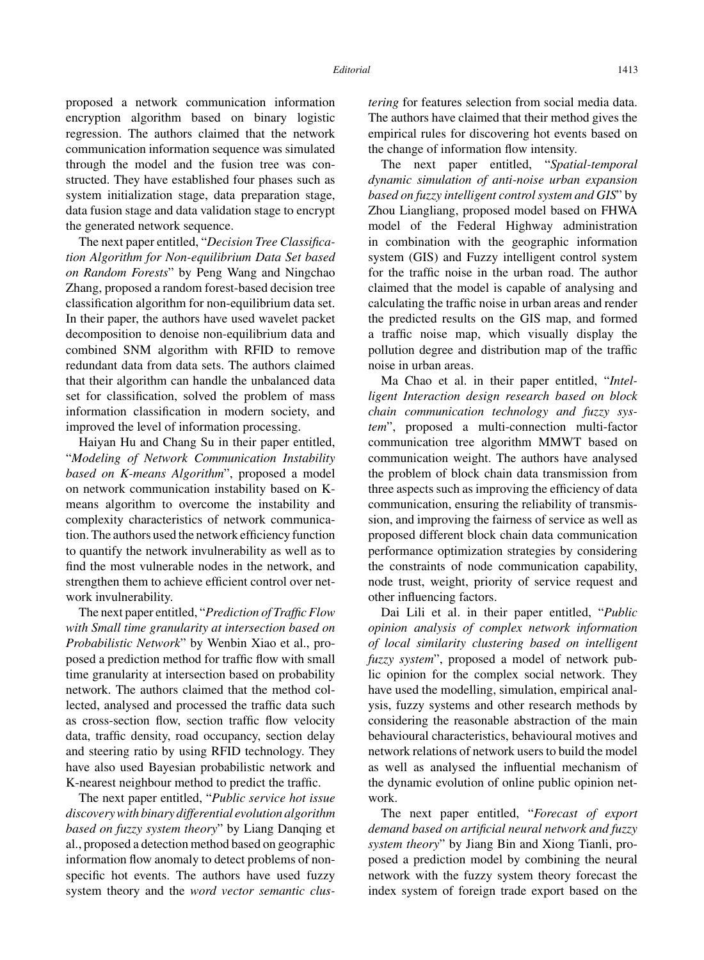proposed a network communication information encryption algorithm based on binary logistic regression. The authors claimed that the network communication information sequence was simulated through the model and the fusion tree was constructed. They have established four phases such as system initialization stage, data preparation stage, data fusion stage and data validation stage to encrypt the generated network sequence.

The next paper entitled, "*Decision Tree Classification Algorithm for Non-equilibrium Data Set based on Random Forests*" by Peng Wang and Ningchao Zhang, proposed a random forest-based decision tree classification algorithm for non-equilibrium data set. In their paper, the authors have used wavelet packet decomposition to denoise non-equilibrium data and combined SNM algorithm with RFID to remove redundant data from data sets. The authors claimed that their algorithm can handle the unbalanced data set for classification, solved the problem of mass information classification in modern society, and improved the level of information processing.

Haiyan Hu and Chang Su in their paper entitled, "*Modeling of Network Communication Instability based on K-means Algorithm*", proposed a model on network communication instability based on Kmeans algorithm to overcome the instability and complexity characteristics of network communication. The authors used the network efficiency function to quantify the network invulnerability as well as to find the most vulnerable nodes in the network, and strengthen them to achieve efficient control over network invulnerability.

The next paper entitled, "*Prediction of Traffic Flow with Small time granularity at intersection based on Probabilistic Network*" by Wenbin Xiao et al., proposed a prediction method for traffic flow with small time granularity at intersection based on probability network. The authors claimed that the method collected, analysed and processed the traffic data such as cross-section flow, section traffic flow velocity data, traffic density, road occupancy, section delay and steering ratio by using RFID technology. They have also used Bayesian probabilistic network and K-nearest neighbour method to predict the traffic.

The next paper entitled, "*Public service hot issue discovery with binary differential evolution algorithm based on fuzzy system theory*" by Liang Danqing et al., proposed a detection method based on geographic information flow anomaly to detect problems of nonspecific hot events. The authors have used fuzzy system theory and the *word vector semantic clus-* *tering* for features selection from social media data. The authors have claimed that their method gives the empirical rules for discovering hot events based on the change of information flow intensity.

The next paper entitled, "*Spatial-temporal dynamic simulation of anti-noise urban expansion based on fuzzy intelligent control system and GIS*" by Zhou Liangliang, proposed model based on FHWA model of the Federal Highway administration in combination with the geographic information system (GIS) and Fuzzy intelligent control system for the traffic noise in the urban road. The author claimed that the model is capable of analysing and calculating the traffic noise in urban areas and render the predicted results on the GIS map, and formed a traffic noise map, which visually display the pollution degree and distribution map of the traffic noise in urban areas.

Ma Chao et al. in their paper entitled, "*Intelligent Interaction design research based on block chain communication technology and fuzzy system*", proposed a multi-connection multi-factor communication tree algorithm MMWT based on communication weight. The authors have analysed the problem of block chain data transmission from three aspects such as improving the efficiency of data communication, ensuring the reliability of transmission, and improving the fairness of service as well as proposed different block chain data communication performance optimization strategies by considering the constraints of node communication capability, node trust, weight, priority of service request and other influencing factors.

Dai Lili et al. in their paper entitled, "*Public opinion analysis of complex network information of local similarity clustering based on intelligent fuzzy system*", proposed a model of network public opinion for the complex social network. They have used the modelling, simulation, empirical analysis, fuzzy systems and other research methods by considering the reasonable abstraction of the main behavioural characteristics, behavioural motives and network relations of network users to build the model as well as analysed the influential mechanism of the dynamic evolution of online public opinion network.

The next paper entitled, "*Forecast of export demand based on artificial neural network and fuzzy system theory*" by Jiang Bin and Xiong Tianli, proposed a prediction model by combining the neural network with the fuzzy system theory forecast the index system of foreign trade export based on the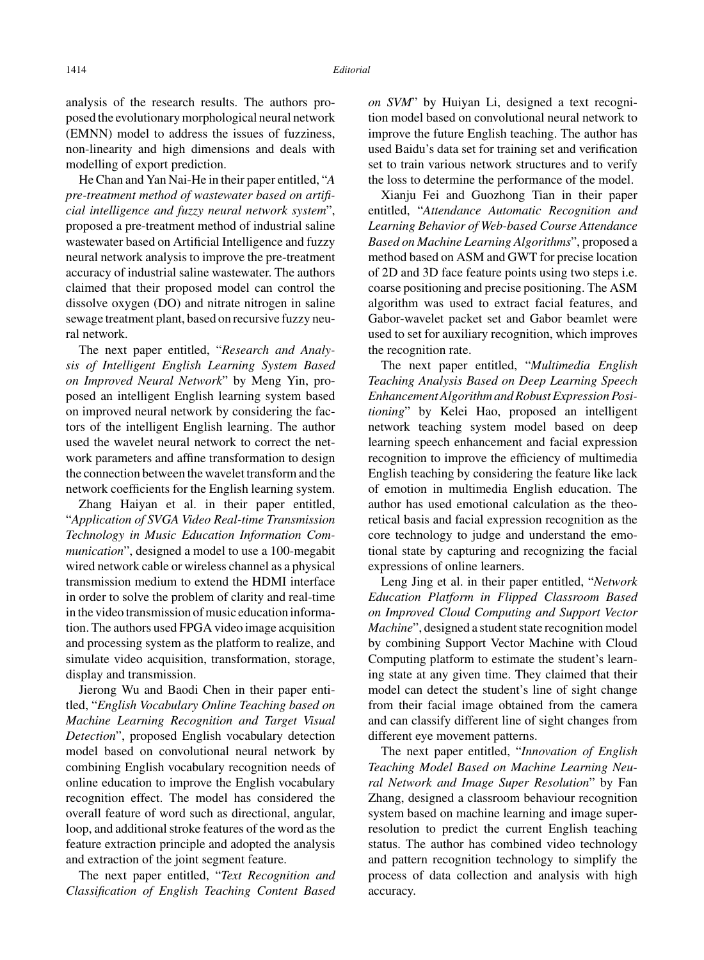analysis of the research results. The authors proposed the evolutionary morphological neural network (EMNN) model to address the issues of fuzziness, non-linearity and high dimensions and deals with modelling of export prediction.

He Chan and Yan Nai-He in their paper entitled, "*A pre-treatment method of wastewater based on artificial intelligence and fuzzy neural network system*", proposed a pre-treatment method of industrial saline wastewater based on Artificial Intelligence and fuzzy neural network analysis to improve the pre-treatment accuracy of industrial saline wastewater. The authors claimed that their proposed model can control the dissolve oxygen (DO) and nitrate nitrogen in saline sewage treatment plant, based on recursive fuzzy neural network.

The next paper entitled, "*Research and Analysis of Intelligent English Learning System Based on Improved Neural Network*" by Meng Yin, proposed an intelligent English learning system based on improved neural network by considering the factors of the intelligent English learning. The author used the wavelet neural network to correct the network parameters and affine transformation to design the connection between the wavelet transform and the network coefficients for the English learning system.

Zhang Haiyan et al. in their paper entitled, "*Application of SVGA Video Real-time Transmission Technology in Music Education Information Communication*", designed a model to use a 100-megabit wired network cable or wireless channel as a physical transmission medium to extend the HDMI interface in order to solve the problem of clarity and real-time in the video transmission of music education information. The authors used FPGA video image acquisition and processing system as the platform to realize, and simulate video acquisition, transformation, storage, display and transmission.

Jierong Wu and Baodi Chen in their paper entitled, "*English Vocabulary Online Teaching based on Machine Learning Recognition and Target Visual Detection*", proposed English vocabulary detection model based on convolutional neural network by combining English vocabulary recognition needs of online education to improve the English vocabulary recognition effect. The model has considered the overall feature of word such as directional, angular, loop, and additional stroke features of the word as the feature extraction principle and adopted the analysis and extraction of the joint segment feature.

The next paper entitled, "*Text Recognition and Classification of English Teaching Content Based* *on SVM*" by Huiyan Li, designed a text recognition model based on convolutional neural network to improve the future English teaching. The author has used Baidu's data set for training set and verification set to train various network structures and to verify the loss to determine the performance of the model.

Xianju Fei and Guozhong Tian in their paper entitled, "*Attendance Automatic Recognition and Learning Behavior of Web-based Course Attendance Based on Machine Learning Algorithms*", proposed a method based on ASM and GWT for precise location of 2D and 3D face feature points using two steps i.e. coarse positioning and precise positioning. The ASM algorithm was used to extract facial features, and Gabor-wavelet packet set and Gabor beamlet were used to set for auxiliary recognition, which improves the recognition rate.

The next paper entitled, "*Multimedia English Teaching Analysis Based on Deep Learning Speech Enhancement Algorithm and Robust Expression Positioning*" by Kelei Hao, proposed an intelligent network teaching system model based on deep learning speech enhancement and facial expression recognition to improve the efficiency of multimedia English teaching by considering the feature like lack of emotion in multimedia English education. The author has used emotional calculation as the theoretical basis and facial expression recognition as the core technology to judge and understand the emotional state by capturing and recognizing the facial expressions of online learners.

Leng Jing et al. in their paper entitled, "*Network Education Platform in Flipped Classroom Based on Improved Cloud Computing and Support Vector Machine*", designed a student state recognition model by combining Support Vector Machine with Cloud Computing platform to estimate the student's learning state at any given time. They claimed that their model can detect the student's line of sight change from their facial image obtained from the camera and can classify different line of sight changes from different eye movement patterns.

The next paper entitled, "*Innovation of English Teaching Model Based on Machine Learning Neural Network and Image Super Resolution*" by Fan Zhang, designed a classroom behaviour recognition system based on machine learning and image superresolution to predict the current English teaching status. The author has combined video technology and pattern recognition technology to simplify the process of data collection and analysis with high accuracy.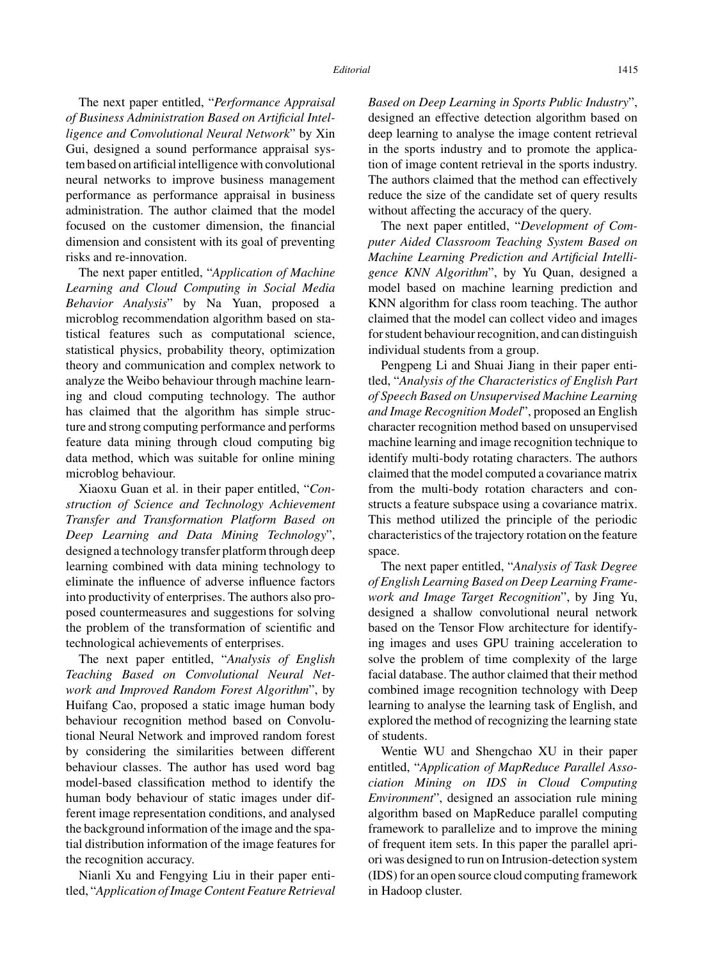The next paper entitled, "*Performance Appraisal of Business Administration Based on Artificial Intelligence and Convolutional Neural Network*" by Xin Gui, designed a sound performance appraisal system based on artificial intelligence with convolutional neural networks to improve business management performance as performance appraisal in business administration. The author claimed that the model focused on the customer dimension, the financial dimension and consistent with its goal of preventing risks and re-innovation.

The next paper entitled, "*Application of Machine Learning and Cloud Computing in Social Media Behavior Analysis*" by Na Yuan, proposed a microblog recommendation algorithm based on statistical features such as computational science, statistical physics, probability theory, optimization theory and communication and complex network to analyze the Weibo behaviour through machine learning and cloud computing technology. The author has claimed that the algorithm has simple structure and strong computing performance and performs feature data mining through cloud computing big data method, which was suitable for online mining microblog behaviour.

Xiaoxu Guan et al. in their paper entitled, "*Construction of Science and Technology Achievement Transfer and Transformation Platform Based on Deep Learning and Data Mining Technology*", designed a technology transfer platform through deep learning combined with data mining technology to eliminate the influence of adverse influence factors into productivity of enterprises. The authors also proposed countermeasures and suggestions for solving the problem of the transformation of scientific and technological achievements of enterprises.

The next paper entitled, "*Analysis of English Teaching Based on Convolutional Neural Network and Improved Random Forest Algorithm*", by Huifang Cao, proposed a static image human body behaviour recognition method based on Convolutional Neural Network and improved random forest by considering the similarities between different behaviour classes. The author has used word bag model-based classification method to identify the human body behaviour of static images under different image representation conditions, and analysed the background information of the image and the spatial distribution information of the image features for the recognition accuracy.

Nianli Xu and Fengying Liu in their paper entitled, "*Application of Image Content Feature Retrieval* *Based on Deep Learning in Sports Public Industry*", designed an effective detection algorithm based on deep learning to analyse the image content retrieval in the sports industry and to promote the application of image content retrieval in the sports industry. The authors claimed that the method can effectively reduce the size of the candidate set of query results without affecting the accuracy of the query.

The next paper entitled, "*Development of Computer Aided Classroom Teaching System Based on Machine Learning Prediction and Artificial Intelligence KNN Algorithm*", by Yu Quan, designed a model based on machine learning prediction and KNN algorithm for class room teaching. The author claimed that the model can collect video and images for student behaviour recognition, and can distinguish individual students from a group.

Pengpeng Li and Shuai Jiang in their paper entitled, "*Analysis of the Characteristics of English Part of Speech Based on Unsupervised Machine Learning and Image Recognition Model*", proposed an English character recognition method based on unsupervised machine learning and image recognition technique to identify multi-body rotating characters. The authors claimed that the model computed a covariance matrix from the multi-body rotation characters and constructs a feature subspace using a covariance matrix. This method utilized the principle of the periodic characteristics of the trajectory rotation on the feature space.

The next paper entitled, "*Analysis of Task Degree of English Learning Based on Deep Learning Framework and Image Target Recognition*", by Jing Yu, designed a shallow convolutional neural network based on the Tensor Flow architecture for identifying images and uses GPU training acceleration to solve the problem of time complexity of the large facial database. The author claimed that their method combined image recognition technology with Deep learning to analyse the learning task of English, and explored the method of recognizing the learning state of students.

Wentie WU and Shengchao XU in their paper entitled, "*Application of MapReduce Parallel Association Mining on IDS in Cloud Computing Environment*", designed an association rule mining algorithm based on MapReduce parallel computing framework to parallelize and to improve the mining of frequent item sets. In this paper the parallel apriori was designed to run on Intrusion-detection system (IDS) for an open source cloud computing framework in Hadoop cluster.